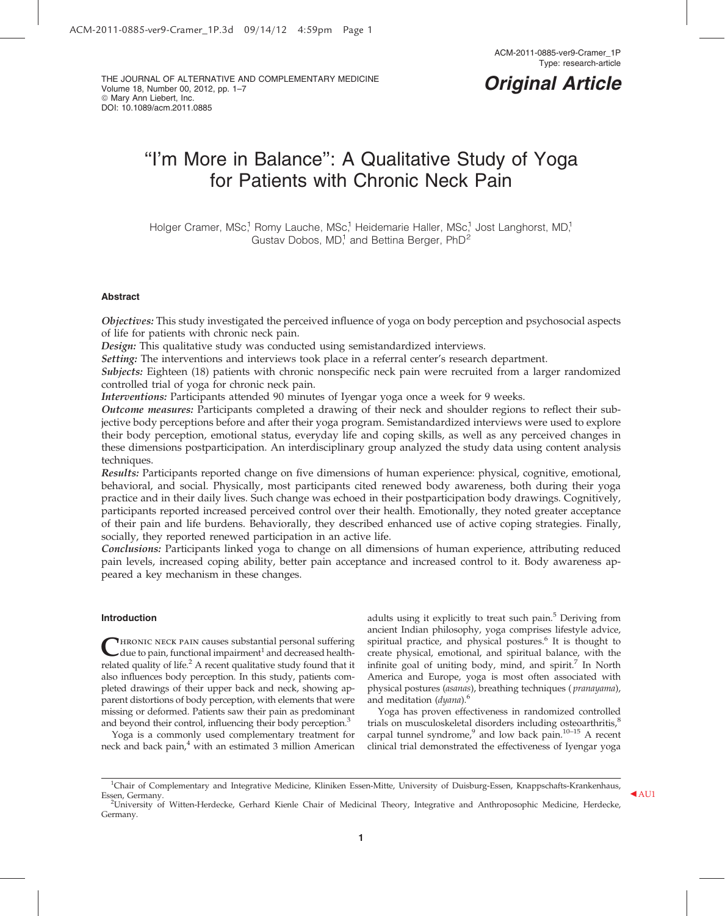THE JOURNAL OF ALTERNATIVE AND COMPLEMENTARY MEDICINE Volume 18, Number 00, 2012, pp. 1–7  $@$  Mary Ann Liebert, Inc. DOI: 10.1089/acm.2011.0885

## Original Article

# "I'm More in Balance": A Qualitative Study of Yoga for Patients with Chronic Neck Pain

Holger Cramer, MSc,<sup>1</sup> Romy Lauche, MSc,<sup>1</sup> Heidemarie Haller, MSc,<sup>1</sup> Jost Langhorst, MD,<sup>1</sup> Gustav Dobos,  $MD<sup>1</sup>$  and Bettina Berger, PhD<sup>2</sup>

#### Abstract

Objectives: This study investigated the perceived influence of yoga on body perception and psychosocial aspects of life for patients with chronic neck pain.

Design: This qualitative study was conducted using semistandardized interviews.

Setting: The interventions and interviews took place in a referral center's research department.

Subjects: Eighteen (18) patients with chronic nonspecific neck pain were recruited from a larger randomized controlled trial of yoga for chronic neck pain.

Interventions: Participants attended 90 minutes of Iyengar yoga once a week for 9 weeks.

Outcome measures: Participants completed a drawing of their neck and shoulder regions to reflect their subjective body perceptions before and after their yoga program. Semistandardized interviews were used to explore their body perception, emotional status, everyday life and coping skills, as well as any perceived changes in these dimensions postparticipation. An interdisciplinary group analyzed the study data using content analysis techniques.

Results: Participants reported change on five dimensions of human experience: physical, cognitive, emotional, behavioral, and social. Physically, most participants cited renewed body awareness, both during their yoga practice and in their daily lives. Such change was echoed in their postparticipation body drawings. Cognitively, participants reported increased perceived control over their health. Emotionally, they noted greater acceptance of their pain and life burdens. Behaviorally, they described enhanced use of active coping strategies. Finally, socially, they reported renewed participation in an active life.

Conclusions: Participants linked yoga to change on all dimensions of human experience, attributing reduced pain levels, increased coping ability, better pain acceptance and increased control to it. Body awareness appeared a key mechanism in these changes.

#### Introduction

HRONIC NECK PAIN causes substantial personal suffering due to pain, functional impairment<sup>1</sup> and decreased healthrelated quality of life. $<sup>2</sup>$  A recent qualitative study found that it</sup> also influences body perception. In this study, patients completed drawings of their upper back and neck, showing apparent distortions of body perception, with elements that were missing or deformed. Patients saw their pain as predominant and beyond their control, influencing their body perception.<sup>3</sup>

Yoga is a commonly used complementary treatment for neck and back pain,<sup>4</sup> with an estimated 3 million American adults using it explicitly to treat such pain.<sup>5</sup> Deriving from ancient Indian philosophy, yoga comprises lifestyle advice, spiritual practice, and physical postures.<sup>6</sup> It is thought to create physical, emotional, and spiritual balance, with the infinite goal of uniting body, mind, and spirit.<sup>7</sup> In North America and Europe, yoga is most often associated with physical postures (asanas), breathing techniques ( pranayama), and meditation  $(dyana)$ .<sup>6</sup>

Yoga has proven effectiveness in randomized controlled trials on musculoskeletal disorders including osteoarthritis,<sup>8</sup> carpal tunnel syndrome,<sup>9</sup> and low back pain.<sup>10–15</sup> A recent clinical trial demonstrated the effectiveness of Iyengar yoga

<sup>&</sup>lt;sup>1</sup>Chair of Complementary and Integrative Medicine, Kliniken Essen-Mitte, University of Duisburg-Essen, Knappschafts-Krankenhaus, Essen, Germany. **a Cause of AU1** 2<br><sup>2</sup>University of Witten-Herdecke, Gerhard Kienle Chair of Medicinal Theory, Integrative and Anthroposophic Medicine, Herdecke,

Germany.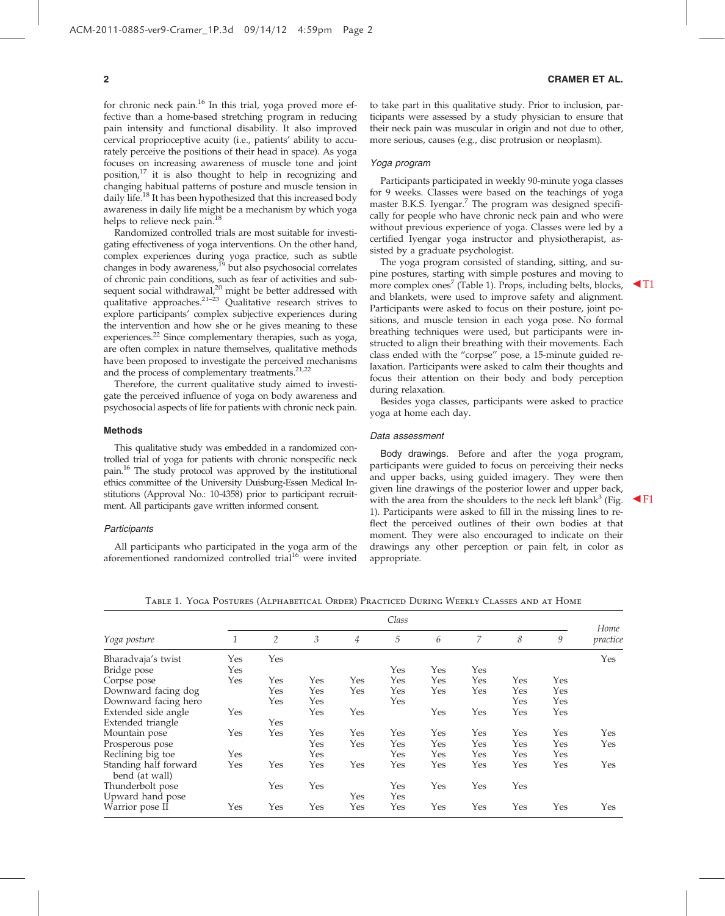for chronic neck pain.<sup>16</sup> In this trial, yoga proved more effective than a home-based stretching program in reducing pain intensity and functional disability. It also improved cervical proprioceptive acuity (i.e., patients' ability to accurately perceive the positions of their head in space). As yoga focuses on increasing awareness of muscle tone and joint position,<sup>17</sup> it is also thought to help in recognizing and changing habitual patterns of posture and muscle tension in daily life.<sup>18</sup> It has been hypothesized that this increased body awareness in daily life might be a mechanism by which yoga helps to relieve neck pain.<sup>18</sup>

Randomized controlled trials are most suitable for investigating effectiveness of yoga interventions. On the other hand, complex experiences during yoga practice, such as subtle changes in body awareness,<sup>19</sup> but also psychosocial correlates of chronic pain conditions, such as fear of activities and subsequent social withdrawal,<sup>20</sup> might be better addressed with qualitative approaches.<sup>21-23</sup> Qualitative research strives to explore participants' complex subjective experiences during the intervention and how she or he gives meaning to these experiences. $^{22}$  Since complementary therapies, such as yoga, are often complex in nature themselves, qualitative methods have been proposed to investigate the perceived mechanisms and the process of complementary treatments.<sup>21,22</sup>

Therefore, the current qualitative study aimed to investigate the perceived influence of yoga on body awareness and psychosocial aspects of life for patients with chronic neck pain.

#### Methods

This qualitative study was embedded in a randomized controlled trial of yoga for patients with chronic nonspecific neck pain.<sup>16</sup> The study protocol was approved by the institutional ethics committee of the University Duisburg-Essen Medical Institutions (Approval No.: 10-4358) prior to participant recruitment. All participants gave written informed consent.

#### **Participants**

All participants who participated in the yoga arm of the aforementioned randomized controlled trial<sup>16</sup> were invited

#### 2 CRAMER ET AL.

to take part in this qualitative study. Prior to inclusion, participants were assessed by a study physician to ensure that their neck pain was muscular in origin and not due to other, more serious, causes (e.g., disc protrusion or neoplasm).

#### Yoga program

Participants participated in weekly 90-minute yoga classes for 9 weeks. Classes were based on the teachings of yoga master B.K.S. Iyengar. $^7$  The program was designed specifically for people who have chronic neck pain and who were without previous experience of yoga. Classes were led by a certified Iyengar yoga instructor and physiotherapist, assisted by a graduate psychologist.

The yoga program consisted of standing, sitting, and supine postures, starting with simple postures and moving to more complex ones<sup>7</sup> (Table 1). Props, including belts, blocks,  $\blacktriangleleft$ T1 and blankets, were used to improve safety and alignment. Participants were asked to focus on their posture, joint positions, and muscle tension in each yoga pose. No formal breathing techniques were used, but participants were instructed to align their breathing with their movements. Each class ended with the ''corpse'' pose, a 15-minute guided relaxation. Participants were asked to calm their thoughts and focus their attention on their body and body perception during relaxation.

Besides yoga classes, participants were asked to practice yoga at home each day.

#### Data assessment

Body drawings. Before and after the yoga program, participants were guided to focus on perceiving their necks and upper backs, using guided imagery. They were then given line drawings of the posterior lower and upper back, with the area from the shoulders to the neck left blank<sup>3</sup> (Fig. 1). Participants were asked to fill in the missing lines to reflect the perceived outlines of their own bodies at that moment. They were also encouraged to indicate on their drawings any other perception or pain felt, in color as appropriate.

Table 1. Yoga Postures (Alphabetical Order) Practiced During Weekly Classes and at Home

|                                         | Class |                |     |     |     |     |     |     |     |                  |
|-----------------------------------------|-------|----------------|-----|-----|-----|-----|-----|-----|-----|------------------|
| Yoga posture                            | 1     | $\overline{2}$ | 3   | 4   | 5   | 6   | 7   | 8   | 9   | Home<br>practice |
| Bharadvaja's twist                      | Yes   | Yes            |     |     |     |     |     |     |     | Yes              |
| Bridge pose                             | Yes   |                |     |     | Yes | Yes | Yes |     |     |                  |
| Corpse pose                             | Yes   | Yes            | Yes | Yes | Yes | Yes | Yes | Yes | Yes |                  |
| Downward facing dog                     |       | Yes            | Yes | Yes | Yes | Yes | Yes | Yes | Yes |                  |
| Downward facing hero                    |       | Yes            | Yes |     | Yes |     |     | Yes | Yes |                  |
| Extended side angle                     | Yes   |                | Yes | Yes |     | Yes | Yes | Yes | Yes |                  |
| Extended triangle                       |       | Yes            |     |     |     |     |     |     |     |                  |
| Mountain pose                           | Yes   | Yes            | Yes | Yes | Yes | Yes | Yes | Yes | Yes | Yes              |
| Prosperous pose                         |       |                | Yes | Yes | Yes | Yes | Yes | Yes | Yes | Yes              |
| Reclining big toe                       | Yes   |                | Yes |     | Yes | Yes | Yes | Yes | Yes |                  |
| Standing half forward<br>bend (at wall) | Yes   | Yes            | Yes | Yes | Yes | Yes | Yes | Yes | Yes | Yes              |
| Thunderbolt pose                        |       | Yes            | Yes |     | Yes | Yes | Yes | Yes |     |                  |
| Upward hand pose                        |       |                |     | Yes | Yes |     |     |     |     |                  |
| Warrior pose II                         | Yes   | Yes            | Yes | Yes | Yes | Yes | Yes | Yes | Yes | Yes              |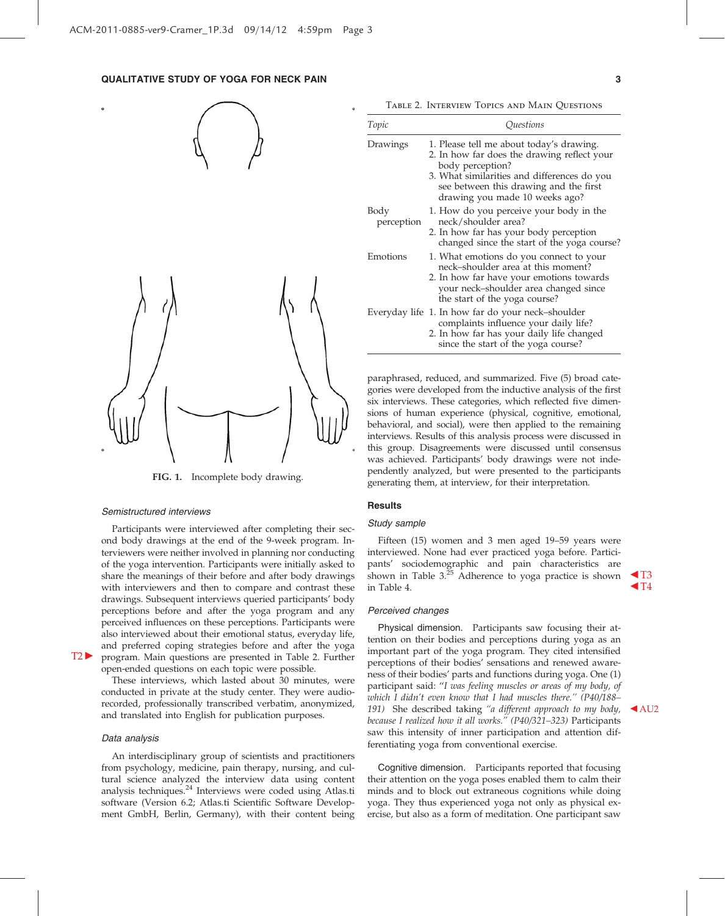### QUALITATIVE STUDY OF YOGA FOR NECK PAIN 3



FIG. 1. Incomplete body drawing.

#### Semistructured interviews

Participants were interviewed after completing their second body drawings at the end of the 9-week program. Interviewers were neither involved in planning nor conducting of the yoga intervention. Participants were initially asked to share the meanings of their before and after body drawings with interviewers and then to compare and contrast these drawings. Subsequent interviews queried participants' body perceptions before and after the yoga program and any perceived influences on these perceptions. Participants were also interviewed about their emotional status, everyday life, and preferred coping strategies before and after the yoga  $T2$  program. Main questions are presented in Table 2. Further open-ended questions on each topic were possible.

These interviews, which lasted about 30 minutes, were conducted in private at the study center. They were audiorecorded, professionally transcribed verbatim, anonymized, and translated into English for publication purposes.

#### Data analysis

An interdisciplinary group of scientists and practitioners from psychology, medicine, pain therapy, nursing, and cultural science analyzed the interview data using content analysis techniques.<sup>24</sup> Interviews were coded using Atlas.ti software (Version 6.2; Atlas.ti Scientific Software Development GmbH, Berlin, Germany), with their content being

Table 2. Interview Topics and Main Questions

| Topic              | Ouestions                                                                                                                                                                                                                              |
|--------------------|----------------------------------------------------------------------------------------------------------------------------------------------------------------------------------------------------------------------------------------|
| Drawings           | 1. Please tell me about today's drawing.<br>2. In how far does the drawing reflect your<br>body perception?<br>3. What similarities and differences do you<br>see between this drawing and the first<br>drawing you made 10 weeks ago? |
| Body<br>perception | 1. How do you perceive your body in the<br>neck/shoulder area?<br>2. In how far has your body perception<br>changed since the start of the yoga course?                                                                                |
| Emotions           | 1. What emotions do you connect to your<br>neck-shoulder area at this moment?<br>2. In how far have your emotions towards<br>your neck-shoulder area changed since<br>the start of the yoga course?                                    |
|                    | Everyday life 1. In how far do your neck-shoulder<br>complaints influence your daily life?<br>2. In how far has your daily life changed<br>since the start of the yoga course?                                                         |

paraphrased, reduced, and summarized. Five (5) broad categories were developed from the inductive analysis of the first six interviews. These categories, which reflected five dimensions of human experience (physical, cognitive, emotional, behavioral, and social), were then applied to the remaining interviews. Results of this analysis process were discussed in this group. Disagreements were discussed until consensus was achieved. Participants' body drawings were not independently analyzed, but were presented to the participants generating them, at interview, for their interpretation.

#### **Results**

### Study sample

Fifteen (15) women and 3 men aged 19–59 years were interviewed. None had ever practiced yoga before. Participants' sociodemographic and pain characteristics are shown in Table 3. $^{25}$  Adherence to yoga practice is shown  $\blacktriangleleft$ T3 in Table 4.  $\blacksquare$ 

#### Perceived changes

Physical dimension. Participants saw focusing their attention on their bodies and perceptions during yoga as an important part of the yoga program. They cited intensified perceptions of their bodies' sensations and renewed awareness of their bodies' parts and functions during yoga. One (1) participant said: ''I was feeling muscles or areas of my body, of which I didn't even know that I had muscles there.'' (P40/188– 191) She described taking "a different approach to my body,  $\triangleleft$  AU2 because I realized how it all works.'' (P40/321–323) Participants saw this intensity of inner participation and attention differentiating yoga from conventional exercise.

Cognitive dimension. Participants reported that focusing their attention on the yoga poses enabled them to calm their minds and to block out extraneous cognitions while doing yoga. They thus experienced yoga not only as physical exercise, but also as a form of meditation. One participant saw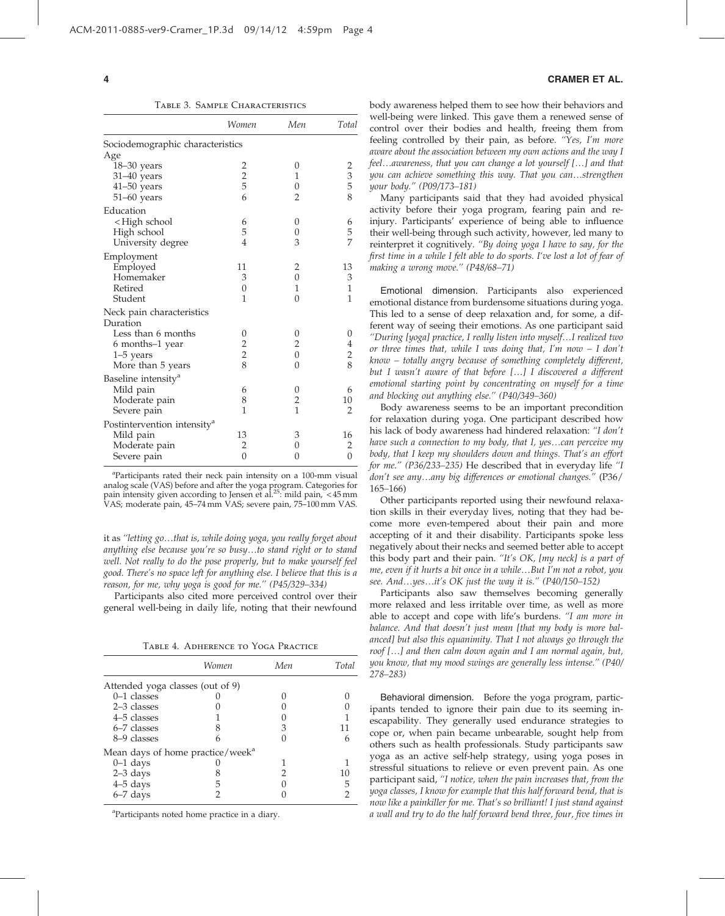Table 3. Sample Characteristics

|                                                              | Women          | Men                     | Total             |
|--------------------------------------------------------------|----------------|-------------------------|-------------------|
| Sociodemographic characteristics                             |                |                         |                   |
| Age                                                          |                |                         |                   |
| 18-30 years                                                  |                | 0                       |                   |
| $31-40$ years                                                | $\frac{2}{2}$  | 1                       | $\frac{2}{3}$ 5 8 |
| $41 - 50$ years                                              |                | $\overline{0}$          |                   |
| $51-60$ years                                                | 6              | $\overline{2}$          |                   |
| Education                                                    |                |                         |                   |
| <high school<="" td=""><td>6</td><td>0</td><td>6</td></high> | 6              | 0                       | 6                 |
| High school                                                  | 5              | 0                       | $\frac{5}{7}$     |
| University degree                                            | $\overline{4}$ | 3                       |                   |
| Employment                                                   |                |                         |                   |
| Employed                                                     | 11             | 2                       | 13                |
| Homemaker                                                    | 3              | $\boldsymbol{0}$        | 3                 |
| Retired                                                      | $\mathbf{0}$   | 1                       | $\mathbf{1}$      |
| Student                                                      | 1              | $\Omega$                | $\mathbf{1}$      |
| Neck pain characteristics                                    |                |                         |                   |
| Duration                                                     |                |                         |                   |
| Less than 6 months                                           | 0              | 0                       | 0                 |
| 6 months–1 year                                              | $\frac{2}{8}$  | $\overline{\mathbf{c}}$ |                   |
| 1–5 years                                                    |                | $\overline{0}$          | $\frac{4}{2}$ 8   |
| More than 5 years                                            |                | $\Omega$                |                   |
| Baseline intensity <sup>a</sup>                              |                |                         |                   |
| Mild pain                                                    | 6              | 0                       | 6                 |
| Moderate pain                                                | 8              | $\overline{c}$          | 10                |
| Severe pain                                                  | 1              | $\mathbf{1}$            | 2                 |
| Postintervention intensity <sup>a</sup>                      |                |                         |                   |
| Mild pain                                                    | 13             | 3                       | 16                |
| Moderate pain                                                | $\overline{2}$ | 0                       | 2                 |
| Severe pain                                                  | 0              | 0                       | 0                 |

<sup>a</sup>Participants rated their neck pain intensity on a 100-mm visual analog scale (VAS) before and after the yoga program. Categories for<br>pain intensity given according to Jensen et al.<sup>25</sup>: mild pain, <45 mm VAS; moderate pain, 45–74 mm VAS; severe pain, 75–100 mm VAS.

it as "letting go...that is, while doing yoga, you really forget about anything else because you're so busy...to stand right or to stand well. Not really to do the pose properly, but to make yourself feel good. There's no space left for anything else. I believe that this is a reason, for me, why yoga is good for me.'' (P45/329–334)

Participants also cited more perceived control over their general well-being in daily life, noting that their newfound

Table 4. Adherence to Yoga Practice

|                                              | Women | Men | Total |
|----------------------------------------------|-------|-----|-------|
| Attended yoga classes (out of 9)             |       |     |       |
| $0-1$ classes                                |       |     |       |
| $2-3$ classes                                |       |     |       |
| $4-5$ classes                                |       |     |       |
| $6-7$ classes                                |       |     |       |
| 8–9 classes                                  |       |     |       |
| Mean days of home practice/week <sup>a</sup> |       |     |       |
| $0-1$ days                                   |       |     |       |
| $2-3$ days                                   |       |     |       |
| $4-5$ days                                   |       |     |       |
| 6-7 days                                     |       |     |       |

a Participants noted home practice in a diary.

#### 4 CRAMER ET AL.

body awareness helped them to see how their behaviors and well-being were linked. This gave them a renewed sense of control over their bodies and health, freeing them from feeling controlled by their pain, as before. "Yes, I'm more aware about the association between my own actions and the way I feel...awareness, that you can change a lot yourself [...] and that you can achieve something this way. That you can...strengthen your body.'' (P09/173–181)

Many participants said that they had avoided physical activity before their yoga program, fearing pain and reinjury. Participants' experience of being able to influence their well-being through such activity, however, led many to reinterpret it cognitively. ''By doing yoga I have to say, for the first time in a while I felt able to do sports. I've lost a lot of fear of making a wrong move.'' (P48/68–71)

Emotional dimension. Participants also experienced emotional distance from burdensome situations during yoga. This led to a sense of deep relaxation and, for some, a different way of seeing their emotions. As one participant said "During [yoga] practice, I really listen into myself...I realized two or three times that, while I was doing that, I'm now  $-$  I don't know – totally angry because of something completely different, but I wasn't aware of that before [...] I discovered a different emotional starting point by concentrating on myself for a time and blocking out anything else.'' (P40/349–360)

Body awareness seems to be an important precondition for relaxation during yoga. One participant described how his lack of body awareness had hindered relaxation: ''I don't have such a connection to my body, that  $I$ , yes...can perceive my body, that I keep my shoulders down and things. That's an effort for me.'' (P36/233–235) He described that in everyday life ''I don't see any...any big differences or emotional changes." (P36/ 165–166)

Other participants reported using their newfound relaxation skills in their everyday lives, noting that they had become more even-tempered about their pain and more accepting of it and their disability. Participants spoke less negatively about their necks and seemed better able to accept this body part and their pain. "It's OK, [my neck] is a part of me, even if it hurts a bit once in a while...But I'm not a robot, you see. And...yes...it's OK just the way it is." (P40/150-152)

Participants also saw themselves becoming generally more relaxed and less irritable over time, as well as more able to accept and cope with life's burdens. ''I am more in balance. And that doesn't just mean [that my body is more balanced] but also this equanimity. That I not always go through the roof [...] and then calm down again and I am normal again, but, you know, that my mood swings are generally less intense.'' (P40/ 278–283)

Behavioral dimension. Before the yoga program, participants tended to ignore their pain due to its seeming inescapability. They generally used endurance strategies to cope or, when pain became unbearable, sought help from others such as health professionals. Study participants saw yoga as an active self-help strategy, using yoga poses in stressful situations to relieve or even prevent pain. As one participant said, ''I notice, when the pain increases that, from the yoga classes, I know for example that this half forward bend, that is now like a painkiller for me. That's so brilliant! I just stand against a wall and try to do the half forward bend three, four, five times in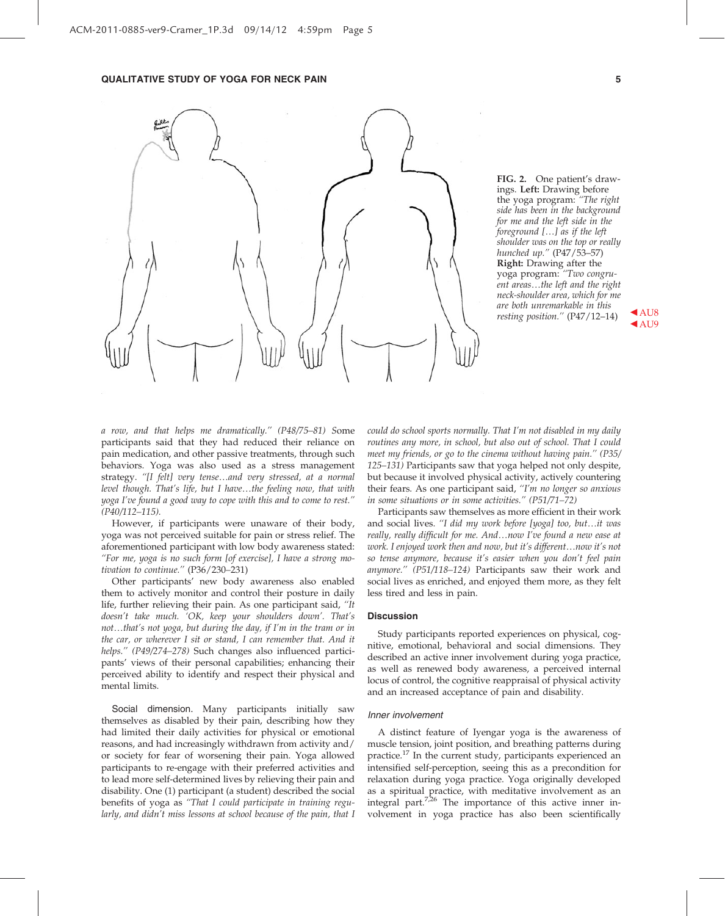

FIG. 2. One patient's drawings. Left: Drawing before the yoga program: "The right side has been in the background for me and the left side in the foreground  $[...]$  as if the left shoulder was on the top or really hunched up.'' (P47/53–57) Right: Drawing after the yoga program: ''Two congru-<br>ent areas…the left and the right neck-shoulder area, which for me are both unremarkable in this resting position."  $(P47/12-14)$  AU8

 $\triangle$  AU9

a row, and that helps me dramatically.'' (P48/75–81) Some participants said that they had reduced their reliance on pain medication, and other passive treatments, through such behaviors. Yoga was also used as a stress management strategy. "[I felt] very tense...and very stressed, at a normal level though. That's life, but I have...the feeling now, that with yoga I've found a good way to cope with this and to come to rest.'' (P40/112–115).

However, if participants were unaware of their body, yoga was not perceived suitable for pain or stress relief. The aforementioned participant with low body awareness stated: ''For me, yoga is no such form [of exercise], I have a strong motivation to continue.'' (P36/230–231)

Other participants' new body awareness also enabled them to actively monitor and control their posture in daily life, further relieving their pain. As one participant said, ''It doesn't take much. 'OK, keep your shoulders down'. That's not...that's not yoga, but during the day, if I'm in the tram or in the car, or wherever I sit or stand, I can remember that. And it helps." (P49/274–278) Such changes also influenced participants' views of their personal capabilities; enhancing their perceived ability to identify and respect their physical and mental limits.

Social dimension. Many participants initially saw themselves as disabled by their pain, describing how they had limited their daily activities for physical or emotional reasons, and had increasingly withdrawn from activity and/ or society for fear of worsening their pain. Yoga allowed participants to re-engage with their preferred activities and to lead more self-determined lives by relieving their pain and disability. One (1) participant (a student) described the social benefits of yoga as ''That I could participate in training regularly, and didn't miss lessons at school because of the pain, that I

could do school sports normally. That I'm not disabled in my daily routines any more, in school, but also out of school. That I could meet my friends, or go to the cinema without having pain.'' (P35/ 125–131) Participants saw that yoga helped not only despite, but because it involved physical activity, actively countering their fears. As one participant said, "I'm no longer so anxious in some situations or in some activities.'' (P51/71–72)

Participants saw themselves as more efficient in their work and social lives. "I did my work before [yoga] too, but...it was really, really difficult for me. And...now I've found a new ease at work. I enjoyed work then and now, but it's different...now it's not so tense anymore, because it's easier when you don't feel pain anymore.'' (P51/118–124) Participants saw their work and social lives as enriched, and enjoyed them more, as they felt less tired and less in pain.

#### **Discussion**

Study participants reported experiences on physical, cognitive, emotional, behavioral and social dimensions. They described an active inner involvement during yoga practice, as well as renewed body awareness, a perceived internal locus of control, the cognitive reappraisal of physical activity and an increased acceptance of pain and disability.

#### Inner involvement

A distinct feature of Iyengar yoga is the awareness of muscle tension, joint position, and breathing patterns during practice.<sup>17</sup> In the current study, participants experienced an intensified self-perception, seeing this as a precondition for relaxation during yoga practice. Yoga originally developed as a spiritual practice, with meditative involvement as an integral part.<sup>7,26</sup> The importance of this active inner involvement in yoga practice has also been scientifically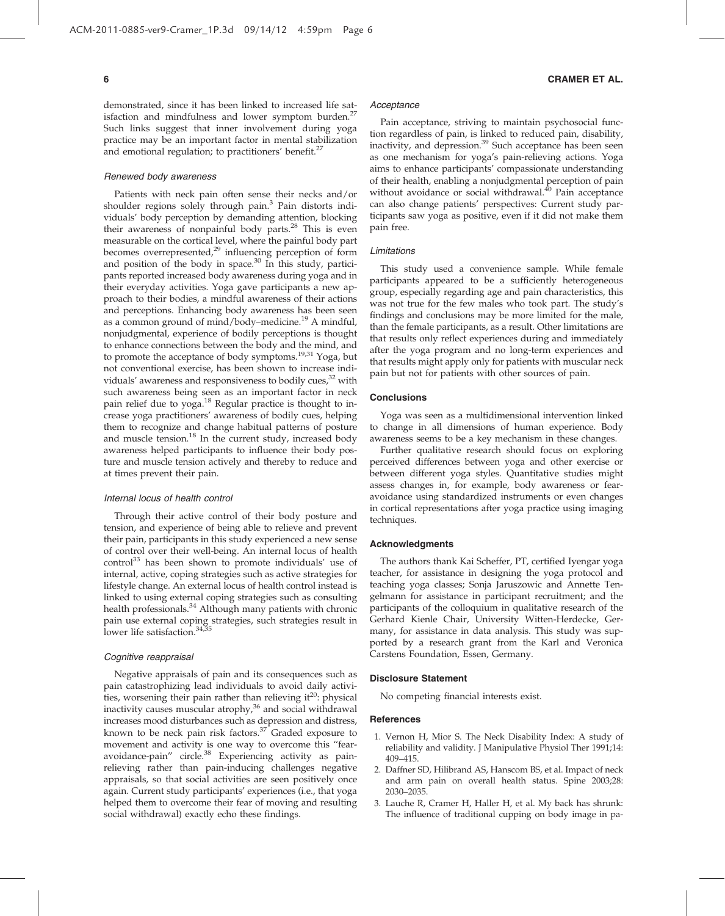demonstrated, since it has been linked to increased life satisfaction and mindfulness and lower symptom burden.<sup>2</sup> Such links suggest that inner involvement during yoga practice may be an important factor in mental stabilization and emotional regulation; to practitioners' benefit.<sup>27</sup>

#### Renewed body awareness

Patients with neck pain often sense their necks and/or shoulder regions solely through pain.<sup>3</sup> Pain distorts individuals' body perception by demanding attention, blocking their awareness of nonpainful body parts. $^{28}$  This is even measurable on the cortical level, where the painful body part becomes overrepresented,<sup>29</sup> influencing perception of form and position of the body in space. $30$  In this study, participants reported increased body awareness during yoga and in their everyday activities. Yoga gave participants a new approach to their bodies, a mindful awareness of their actions and perceptions. Enhancing body awareness has been seen as a common ground of mind/body–medicine.<sup>19</sup> A mindful, nonjudgmental, experience of bodily perceptions is thought to enhance connections between the body and the mind, and to promote the acceptance of body symptoms.<sup>19,31</sup> Yoga, but not conventional exercise, has been shown to increase individuals' awareness and responsiveness to bodily cues, $32$  with such awareness being seen as an important factor in neck pain relief due to yoga.<sup>18</sup> Regular practice is thought to increase yoga practitioners' awareness of bodily cues, helping them to recognize and change habitual patterns of posture and muscle tension.<sup>18</sup> In the current study, increased body awareness helped participants to influence their body posture and muscle tension actively and thereby to reduce and at times prevent their pain.

#### Internal locus of health control

Through their active control of their body posture and tension, and experience of being able to relieve and prevent their pain, participants in this study experienced a new sense of control over their well-being. An internal locus of health control $^{33}$  has been shown to promote individuals' use of internal, active, coping strategies such as active strategies for lifestyle change. An external locus of health control instead is linked to using external coping strategies such as consulting health professionals.<sup>34</sup> Although many patients with chronic pain use external coping strategies, such strategies result in lower life satisfaction.<sup>34,35</sup>

#### Cognitive reappraisal

Negative appraisals of pain and its consequences such as pain catastrophizing lead individuals to avoid daily activities, worsening their pain rather than relieving  $it^{20}$ : physical inactivity causes muscular atrophy, $36$  and social withdrawal increases mood disturbances such as depression and distress, known to be neck pain risk factors.<sup>37</sup> Graded exposure to movement and activity is one way to overcome this ''fearavoidance-pain" circle.<sup>38</sup> Experiencing activity as painrelieving rather than pain-inducing challenges negative appraisals, so that social activities are seen positively once again. Current study participants' experiences (i.e., that yoga helped them to overcome their fear of moving and resulting social withdrawal) exactly echo these findings.

#### Acceptance

Pain acceptance, striving to maintain psychosocial function regardless of pain, is linked to reduced pain, disability, inactivity, and depression.<sup>39</sup> Such acceptance has been seen as one mechanism for yoga's pain-relieving actions. Yoga aims to enhance participants' compassionate understanding of their health, enabling a nonjudgmental perception of pain without avoidance or social withdrawal.<sup>40</sup> Pain acceptance can also change patients' perspectives: Current study participants saw yoga as positive, even if it did not make them pain free.

#### Limitations

This study used a convenience sample. While female participants appeared to be a sufficiently heterogeneous group, especially regarding age and pain characteristics, this was not true for the few males who took part. The study's findings and conclusions may be more limited for the male, than the female participants, as a result. Other limitations are that results only reflect experiences during and immediately after the yoga program and no long-term experiences and that results might apply only for patients with muscular neck pain but not for patients with other sources of pain.

#### **Conclusions**

Yoga was seen as a multidimensional intervention linked to change in all dimensions of human experience. Body awareness seems to be a key mechanism in these changes.

Further qualitative research should focus on exploring perceived differences between yoga and other exercise or between different yoga styles. Quantitative studies might assess changes in, for example, body awareness or fearavoidance using standardized instruments or even changes in cortical representations after yoga practice using imaging techniques.

#### Acknowledgments

The authors thank Kai Scheffer, PT, certified Iyengar yoga teacher, for assistance in designing the yoga protocol and teaching yoga classes; Sonja Jaruszowic and Annette Tengelmann for assistance in participant recruitment; and the participants of the colloquium in qualitative research of the Gerhard Kienle Chair, University Witten-Herdecke, Germany, for assistance in data analysis. This study was supported by a research grant from the Karl and Veronica Carstens Foundation, Essen, Germany.

#### Disclosure Statement

No competing financial interests exist.

#### References

- 1. Vernon H, Mior S. The Neck Disability Index: A study of reliability and validity. J Manipulative Physiol Ther 1991;14: 409–415.
- 2. Daffner SD, Hilibrand AS, Hanscom BS, et al. Impact of neck and arm pain on overall health status. Spine 2003;28: 2030–2035.
- 3. Lauche R, Cramer H, Haller H, et al. My back has shrunk: The influence of traditional cupping on body image in pa-

#### 6 CRAMER ET AL.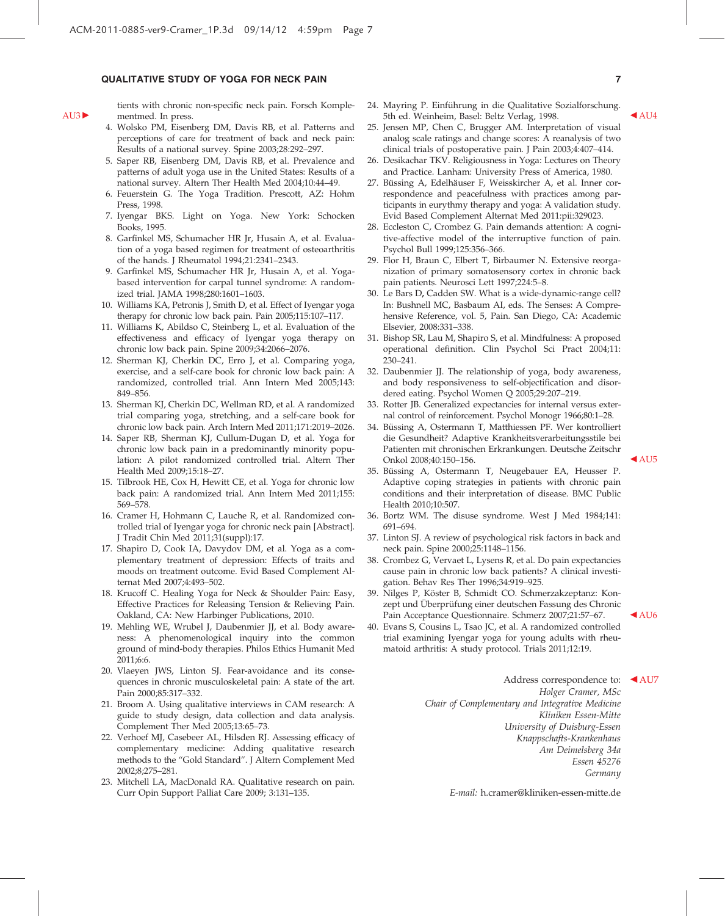#### QUALITATIVE STUDY OF YOGA FOR NECK PAIN 7

tients with chronic non-specific neck pain. Forsch Komple- $AU3$  mentmed. In press.

- 4. Wolsko PM, Eisenberg DM, Davis RB, et al. Patterns and perceptions of care for treatment of back and neck pain: Results of a national survey. Spine 2003;28:292–297.
- 5. Saper RB, Eisenberg DM, Davis RB, et al. Prevalence and patterns of adult yoga use in the United States: Results of a national survey. Altern Ther Health Med 2004;10:44–49.
- 6. Feuerstein G. The Yoga Tradition. Prescott, AZ: Hohm Press, 1998.
- 7. Iyengar BKS. Light on Yoga. New York: Schocken Books, 1995.
- 8. Garfinkel MS, Schumacher HR Jr, Husain A, et al. Evaluation of a yoga based regimen for treatment of osteoarthritis of the hands. J Rheumatol 1994;21:2341–2343.
- 9. Garfinkel MS, Schumacher HR Jr, Husain A, et al. Yogabased intervention for carpal tunnel syndrome: A randomized trial. JAMA 1998;280:1601–1603.
- 10. Williams KA, Petronis J, Smith D, et al. Effect of Iyengar yoga therapy for chronic low back pain. Pain 2005;115:107–117.
- 11. Williams K, Abildso C, Steinberg L, et al. Evaluation of the effectiveness and efficacy of Iyengar yoga therapy on chronic low back pain. Spine 2009;34:2066–2076.
- 12. Sherman KJ, Cherkin DC, Erro J, et al. Comparing yoga, exercise, and a self-care book for chronic low back pain: A randomized, controlled trial. Ann Intern Med 2005;143: 849–856.
- 13. Sherman KJ, Cherkin DC, Wellman RD, et al. A randomized trial comparing yoga, stretching, and a self-care book for chronic low back pain. Arch Intern Med 2011;171:2019–2026.
- 14. Saper RB, Sherman KJ, Cullum-Dugan D, et al. Yoga for chronic low back pain in a predominantly minority population: A pilot randomized controlled trial. Altern Ther Health Med 2009;15:18–27.
- 15. Tilbrook HE, Cox H, Hewitt CE, et al. Yoga for chronic low back pain: A randomized trial. Ann Intern Med 2011;155: 569–578.
- 16. Cramer H, Hohmann C, Lauche R, et al. Randomized controlled trial of Iyengar yoga for chronic neck pain [Abstract]. J Tradit Chin Med 2011;31(suppl):17.
- 17. Shapiro D, Cook IA, Davydov DM, et al. Yoga as a complementary treatment of depression: Effects of traits and moods on treatment outcome. Evid Based Complement Alternat Med 2007;4:493–502.
- 18. Krucoff C. Healing Yoga for Neck & Shoulder Pain: Easy, Effective Practices for Releasing Tension & Relieving Pain. Oakland, CA: New Harbinger Publications, 2010.
- 19. Mehling WE, Wrubel J, Daubenmier JJ, et al. Body awareness: A phenomenological inquiry into the common ground of mind-body therapies. Philos Ethics Humanit Med 2011;6:6.
- 20. Vlaeyen JWS, Linton SJ. Fear-avoidance and its consequences in chronic musculoskeletal pain: A state of the art. Pain 2000;85:317–332.
- 21. Broom A. Using qualitative interviews in CAM research: A guide to study design, data collection and data analysis. Complement Ther Med 2005;13:65–73.
- 22. Verhoef MJ, Casebeer AL, Hilsden RJ. Assessing efficacy of complementary medicine: Adding qualitative research methods to the ''Gold Standard''. J Altern Complement Med 2002;8;275–281.
- 23. Mitchell LA, MacDonald RA. Qualitative research on pain. Curr Opin Support Palliat Care 2009; 3:131–135.
- 24. Mayring P. Einführung in die Qualitative Sozialforschung. 5th ed. Weinheim, Basel: Beltz Verlag, 1998.
- 25. Jensen MP, Chen C, Brugger AM. Interpretation of visual analog scale ratings and change scores: A reanalysis of two clinical trials of postoperative pain. J Pain 2003;4:407–414.
- 26. Desikachar TKV. Religiousness in Yoga: Lectures on Theory and Practice. Lanham: University Press of America, 1980.
- 27. Büssing A, Edelhäuser F, Weisskircher A, et al. Inner correspondence and peacefulness with practices among participants in eurythmy therapy and yoga: A validation study. Evid Based Complement Alternat Med 2011:pii:329023.
- 28. Eccleston C, Crombez G. Pain demands attention: A cognitive-affective model of the interruptive function of pain. Psychol Bull 1999;125:356–366.
- 29. Flor H, Braun C, Elbert T, Birbaumer N. Extensive reorganization of primary somatosensory cortex in chronic back pain patients. Neurosci Lett 1997;224:5–8.
- 30. Le Bars D, Cadden SW. What is a wide-dynamic-range cell? In: Bushnell MC, Basbaum AI, eds. The Senses: A Comprehensive Reference, vol. 5, Pain. San Diego, CA: Academic Elsevier, 2008:331–338.
- 31. Bishop SR, Lau M, Shapiro S, et al. Mindfulness: A proposed operational definition. Clin Psychol Sci Pract 2004;11: 230–241.
- 32. Daubenmier JJ. The relationship of yoga, body awareness, and body responsiveness to self-objectification and disordered eating. Psychol Women Q 2005;29:207–219.
- 33. Rotter JB. Generalized expectancies for internal versus external control of reinforcement. Psychol Monogr 1966;80:1–28.
- 34. Büssing A, Ostermann T, Matthiessen PF. Wer kontrolliert die Gesundheit? Adaptive Krankheitsverarbeitungsstile bei Patienten mit chronischen Erkrankungen. Deutsche Zeitschr Onkol 2008;40:150–156. b AU5

- 35. Büssing A, Ostermann T, Neugebauer EA, Heusser P. Adaptive coping strategies in patients with chronic pain conditions and their interpretation of disease. BMC Public Health 2010;10:507.
- 36. Bortz WM. The disuse syndrome. West J Med 1984;141: 691–694.
- 37. Linton SJ. A review of psychological risk factors in back and neck pain. Spine 2000;25:1148–1156.
- 38. Crombez G, Vervaet L, Lysens R, et al. Do pain expectancies cause pain in chronic low back patients? A clinical investigation. Behav Res Ther 1996;34:919–925.
- 39. Nilges P, Köster B, Schmidt CO. Schmerzakzeptanz: Konzept und Überprüfung einer deutschen Fassung des Chronic Pain Acceptance Questionnaire. Schmerz 2007;21:57-67. <br/> <br/> AU6
- 40. Evans S, Cousins L, Tsao JC, et al. A randomized controlled trial examining Iyengar yoga for young adults with rheumatoid arthritis: A study protocol. Trials 2011;12:19.

Address correspondence to: <a>AU7</a> Holger Cramer, MSc Chair of Complementary and Integrative Medicine Kliniken Essen-Mitte University of Duisburg-Essen Knappschafts-Krankenhaus Am Deimelsberg 34a Essen 45276 Germany

E-mail: h.cramer@kliniken-essen-mitte.de